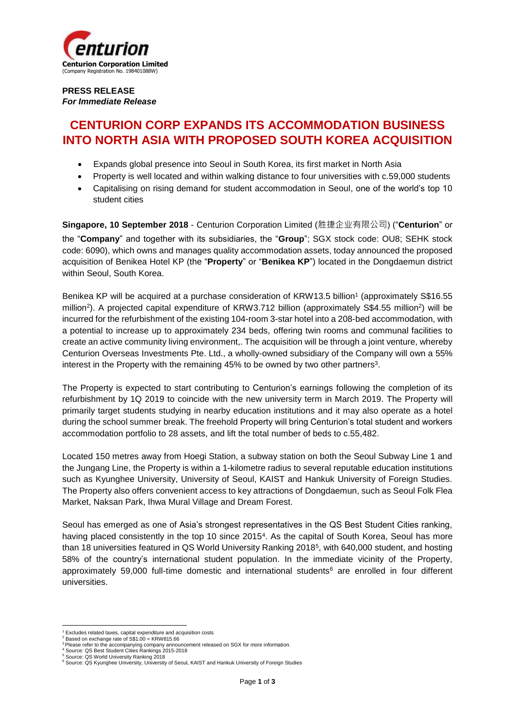

## **PRESS RELEASE** *For Immediate Release*

# **CENTURION CORP EXPANDS ITS ACCOMMODATION BUSINESS INTO NORTH ASIA WITH PROPOSED SOUTH KOREA ACQUISITION**

- Expands global presence into Seoul in South Korea, its first market in North Asia
- Property is well located and within walking distance to four universities with c.59,000 students
- Capitalising on rising demand for student accommodation in Seoul, one of the world's top 10 student cities

**Singapore, 10 September 2018** - Centurion Corporation Limited (胜捷企业有限公司) ("**Centurion**" or the "**Company**" and together with its subsidiaries, the "**Group**"; SGX stock code: OU8; SEHK stock code: 6090), which owns and manages quality accommodation assets, today announced the proposed acquisition of Benikea Hotel KP (the "**Property**" or "**Benikea KP**") located in the Dongdaemun district within Seoul, South Korea.

Benikea KP will be acquired at a purchase consideration of KRW13.5 billion<sup>1</sup> (approximately S\$16.55 million<sup>2</sup>). A projected capital expenditure of KRW3.712 billion (approximately S\$4.55 million<sup>2</sup>) will be incurred for the refurbishment of the existing 104-room 3-star hotel into a 208-bed accommodation, with a potential to increase up to approximately 234 beds, offering twin rooms and communal facilities to create an active community living environment,. The acquisition will be through a joint venture, whereby Centurion Overseas Investments Pte. Ltd., a wholly-owned subsidiary of the Company will own a 55% interest in the Property with the remaining 45% to be owned by two other partners<sup>3</sup>.

The Property is expected to start contributing to Centurion's earnings following the completion of its refurbishment by 1Q 2019 to coincide with the new university term in March 2019. The Property will primarily target students studying in nearby education institutions and it may also operate as a hotel during the school summer break. The freehold Property will bring Centurion's total student and workers accommodation portfolio to 28 assets, and lift the total number of beds to c.55,482.

Located 150 metres away from Hoegi Station, a subway station on both the Seoul Subway Line 1 and the Jungang Line, the Property is within a 1-kilometre radius to several reputable education institutions such as Kyunghee University, University of Seoul, KAIST and Hankuk University of Foreign Studies. The Property also offers convenient access to key attractions of Dongdaemun, such as Seoul Folk Flea Market, Naksan Park, Ihwa Mural Village and Dream Forest.

Seoul has emerged as one of Asia's strongest representatives in the QS Best Student Cities ranking, having placed consistently in the top 10 since 2015<sup>4</sup>. As the capital of South Korea, Seoul has more than 18 universities featured in QS World University Ranking 2018<sup>5</sup>, with 640,000 student, and hosting 58% of the country's international student population. In the immediate vicinity of the Property, approximately 59,000 full-time domestic and international students $6$  are enrolled in four different universities.

 <sup>1</sup> Excludes related taxes, capital expenditure and acquisition costs <sup>2</sup> Based on exchange rate of S\$1.00 = KRW815.66

<sup>&</sup>lt;sup>3</sup> Please refer to the accompanying company announcement released on SGX for more information.<br><sup>4</sup> Source: QS Best Student Cities Rankings 2015-2018

<sup>&</sup>lt;sup>5</sup> Source: QS World University Ranking 2018<br><sup>6</sup> Source: QS Kyunghee University, University of Seoul, KAIST and Hankuk University of Foreign Studies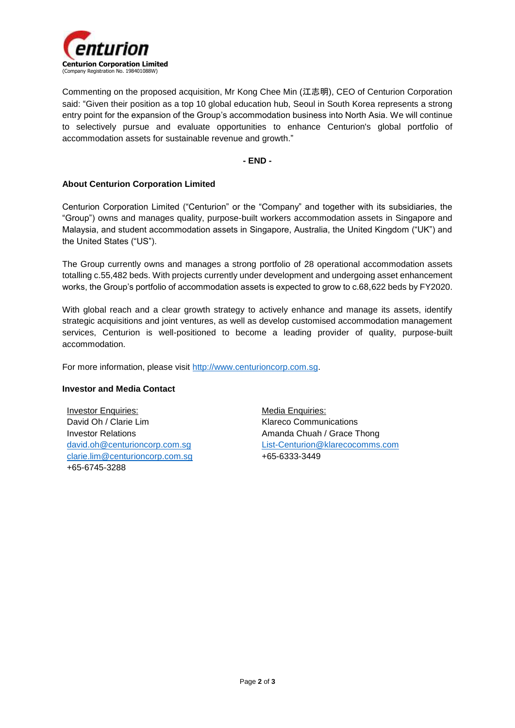

Commenting on the proposed acquisition, Mr Kong Chee Min (江志明), CEO of Centurion Corporation said: "Given their position as a top 10 global education hub, Seoul in South Korea represents a strong entry point for the expansion of the Group's accommodation business into North Asia. We will continue to selectively pursue and evaluate opportunities to enhance Centurion's global portfolio of accommodation assets for sustainable revenue and growth."

**- END -**

### **About Centurion Corporation Limited**

Centurion Corporation Limited ("Centurion" or the "Company" and together with its subsidiaries, the "Group") owns and manages quality, purpose-built workers accommodation assets in Singapore and Malaysia, and student accommodation assets in Singapore, Australia, the United Kingdom ("UK") and the United States ("US").

The Group currently owns and manages a strong portfolio of 28 operational accommodation assets totalling c.55,482 beds. With projects currently under development and undergoing asset enhancement works, the Group's portfolio of accommodation assets is expected to grow to c.68,622 beds by FY2020.

With global reach and a clear growth strategy to actively enhance and manage its assets, identify strategic acquisitions and joint ventures, as well as develop customised accommodation management services, Centurion is well-positioned to become a leading provider of quality, purpose-built accommodation.

For more information, please visit [http://www.centurioncorp.com.sg.](http://www.centurioncorp.com.sg/)

### **Investor and Media Contact**

Investor Enquiries: David Oh / Clarie Lim Investor Relations [david.oh@centurioncorp.com.sg](mailto:david.oh@centurioncorp.com.sg) [clarie.lim@centurioncorp.com.sg](mailto:clarie.lim@centurioncorp.com.sg) +65-6745-3288

Media Enquiries: Klareco Communications Amanda Chuah / Grace Thong [List-Centurion@klarecocomms.com](mailto:List-Centurion@klarecocomms.com) +65-6333-3449